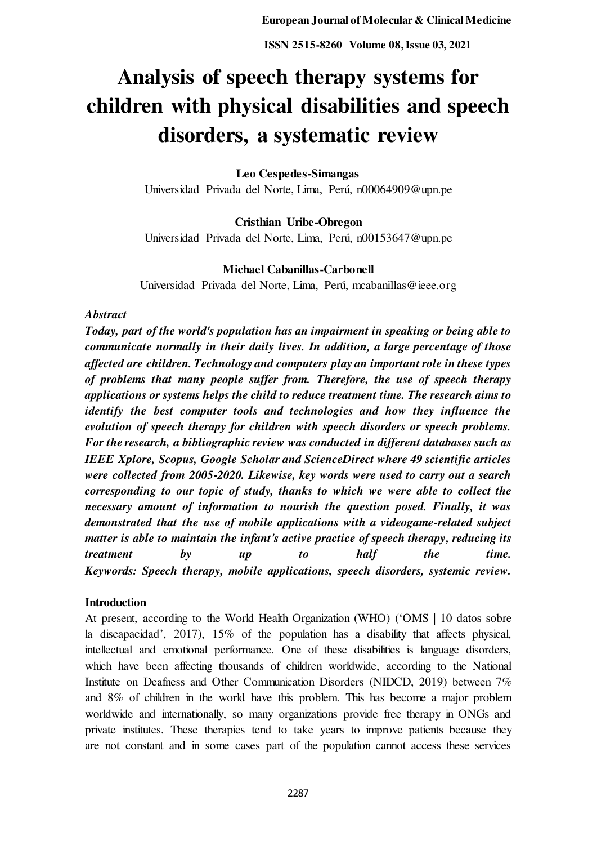# **Analysis of speech therapy systems for children with physical disabilities and speech disorders, a systematic review**

# **Leo Cespedes-Simangas**

Universidad Privada del Norte, Lima, Perú, n00064909@upn.pe

**Cristhian Uribe-Obregon**  Universidad Privada del Norte, Lima, Perú, n00153647@upn.pe

# **Michael Cabanillas-Carbonell**

Universidad Privada del Norte, Lima, Perú, mcabanillas@ieee.org

## *Abstract*

*Today, part of the world's population has an impairment in speaking or being able to communicate normally in their daily lives. In addition, a large percentage of those affected are children. Technology and computers play an important role in these types of problems that many people suffer from. Therefore, the use of speech therapy applications or systems helps the child to reduce treatment time. The research aims to identify the best computer tools and technologies and how they influence the evolution of speech therapy for children with speech disorders or speech problems. For the research, a bibliographic review was conducted in different databases such as IEEE Xplore, Scopus, Google Scholar and ScienceDirect where 49 scientific articles were collected from 2005-2020. Likewise, key words were used to carry out a search corresponding to our topic of study, thanks to which we were able to collect the necessary amount of information to nourish the question posed. Finally, it was demonstrated that the use of mobile applications with a videogame-related subject matter is able to maintain the infant's active practice of speech therapy, reducing its treatment by up to half the time. Keywords: Speech therapy, mobile applications, speech disorders, systemic review.* 

#### **Introduction**

At present, according to the World Health Organization (WHO) ('OMS | 10 datos sobre la discapacidad', 2017), 15% of the population has a disability that affects physical, intellectual and emotional performance. One of these disabilities is language disorders, which have been affecting thousands of children worldwide, according to the National Institute on Deafness and Other Communication Disorders (NIDCD, 2019) between 7% and 8% of children in the world have this problem. This has become a major problem worldwide and internationally, so many organizations provide free therapy in ONGs and private institutes. These therapies tend to take years to improve patients because they are not constant and in some cases part of the population cannot access these services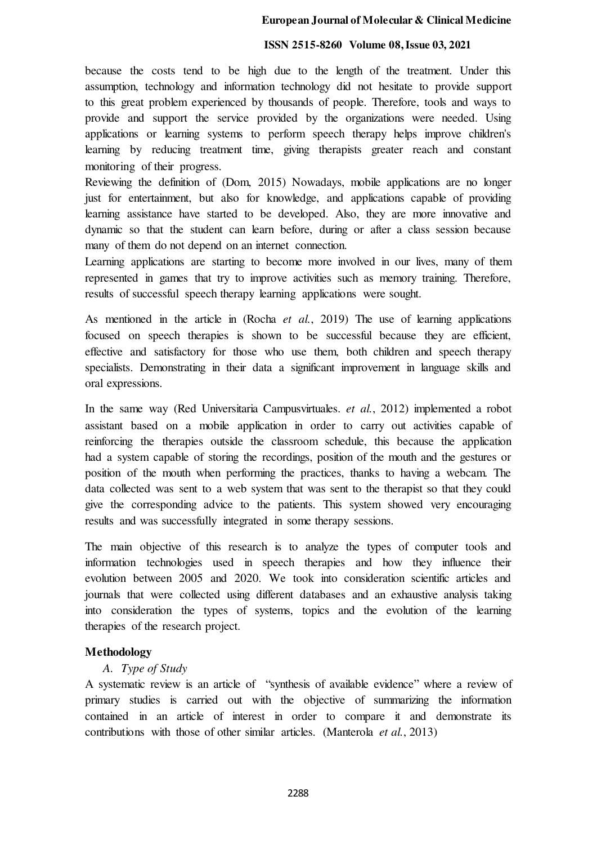## **ISSN 2515-8260 Volume 08, Issue 03, 2021**

because the costs tend to be high due to the length of the treatment. Under this assumption, technology and information technology did not hesitate to provide support to this great problem experienced by thousands of people. Therefore, tools and ways to provide and support the service provided by the organizations were needed. Using applications or learning systems to perform speech therapy helps improve children's learning by reducing treatment time, giving therapists greater reach and constant monitoring of their progress.

Reviewing the definition of (Dom, 2015) Nowadays, mobile applications are no longer just for entertainment, but also for knowledge, and applications capable of providing learning assistance have started to be developed. Also, they are more innovative and dynamic so that the student can learn before, during or after a class session because many of them do not depend on an internet connection.

Learning applications are starting to become more involved in our lives, many of them represented in games that try to improve activities such as memory training. Therefore, results of successful speech therapy learning applications were sought.

As mentioned in the article in (Rocha *et al.*, 2019) The use of learning applications focused on speech therapies is shown to be successful because they are efficient, effective and satisfactory for those who use them, both children and speech therapy specialists. Demonstrating in their data a significant improvement in language skills and oral expressions.

In the same way (Red Universitaria Campusvirtuales. *et al.*, 2012) implemented a robot assistant based on a mobile application in order to carry out activities capable of reinforcing the therapies outside the classroom schedule, this because the application had a system capable of storing the recordings, position of the mouth and the gestures or position of the mouth when performing the practices, thanks to having a webcam. The data collected was sent to a web system that was sent to the therapist so that they could give the corresponding advice to the patients. This system showed very encouraging results and was successfully integrated in some therapy sessions.

The main objective of this research is to analyze the types of computer tools and information technologies used in speech therapies and how they influence their evolution between 2005 and 2020. We took into consideration scientific articles and journals that were collected using different databases and an exhaustive analysis taking into consideration the types of systems, topics and the evolution of the learning therapies of the research project.

# **Methodology**

# *A. Type of Study*

A systematic review is an article of "synthesis of available evidence" where a review of primary studies is carried out with the objective of summarizing the information contained in an article of interest in order to compare it and demonstrate its contributions with those of other similar articles. (Manterola *et al.*, 2013)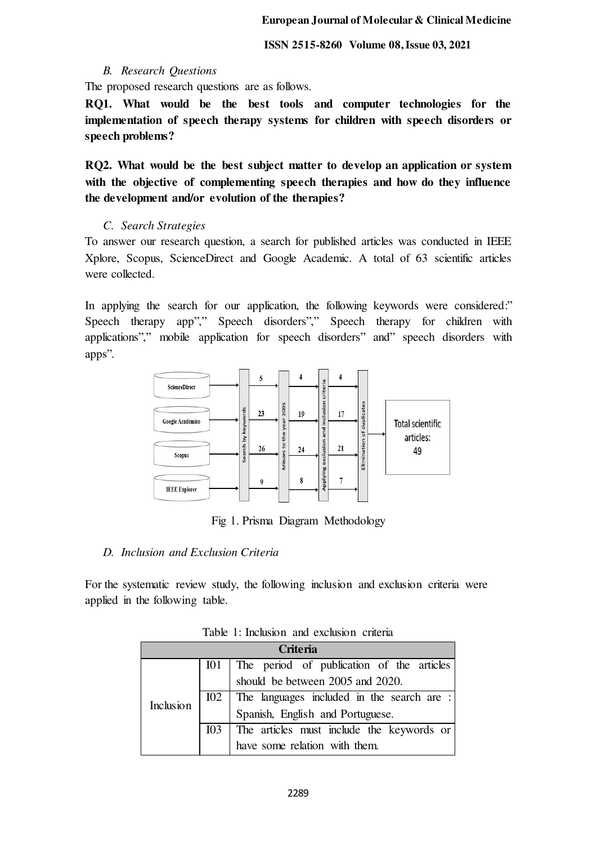# *B. Research Questions*

The proposed research questions are as follows.

**RQ1. What would be the best tools and computer technologies for the implementation of speech therapy systems for children with speech disorders or speech problems?** 

**RQ2. What would be the best subject matter to develop an application or system with the objective of complementing speech therapies and how do they influence the development and/or evolution of the therapies?** 

# *C. Search Strategies*

To answer our research question, a search for published articles was conducted in IEEE Xplore, Scopus, ScienceDirect and Google Academic. A total of 63 scientific articles were collected.

In applying the search for our application, the following keywords were considered." Speech therapy app"," Speech disorders"," Speech therapy for children with applications"," mobile application for speech disorders" and" speech disorders with apps".



Fig 1. Prisma Diagram Methodology

## *D. Inclusion and Exclusion Criteria*

For the systematic review study, the following inclusion and exclusion criteria were applied in the following table.

| <b>Criteria</b>  |                 |                                            |  |  |  |  |  |
|------------------|-----------------|--------------------------------------------|--|--|--|--|--|
|                  | I <sub>01</sub> | The period of publication of the articles  |  |  |  |  |  |
| <b>Inclusion</b> |                 | should be between 2005 and 2020.           |  |  |  |  |  |
|                  | 102             | The languages included in the search are : |  |  |  |  |  |
|                  |                 | Spanish, English and Portuguese.           |  |  |  |  |  |
|                  | I <sub>03</sub> | The articles must include the keywords or  |  |  |  |  |  |
|                  |                 | have some relation with them.              |  |  |  |  |  |

Table 1: Inclusion and exclusion criteria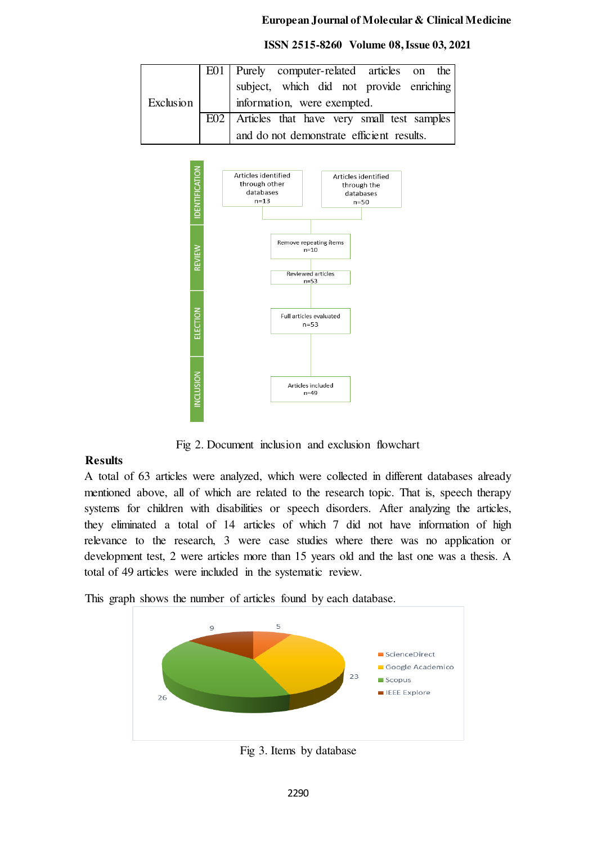|           |                             | E01   Purely computer-related articles on the    |  |  |  |  |  |
|-----------|-----------------------------|--------------------------------------------------|--|--|--|--|--|
|           |                             | subject, which did not provide enriching         |  |  |  |  |  |
| Exclusion | information, were exempted. |                                                  |  |  |  |  |  |
|           |                             | E02   Articles that have very small test samples |  |  |  |  |  |
|           |                             | and do not demonstrate efficient results.        |  |  |  |  |  |

 **ISSN 2515-8260 Volume 08, Issue 03, 2021**



Fig 2. Document inclusion and exclusion flowchart

# **Results**

A total of 63 articles were analyzed, which were collected in different databases already mentioned above, all of which are related to the research topic. That is, speech therapy systems for children with disabilities or speech disorders. After analyzing the articles, they eliminated a total of 14 articles of which 7 did not have information of high relevance to the research, 3 were case studies where there was no application or development test, 2 were articles more than 15 years old and the last one was a thesis. A total of 49 articles were included in the systematic review.

This graph shows the number of articles found by each database.



Fig 3. Items by database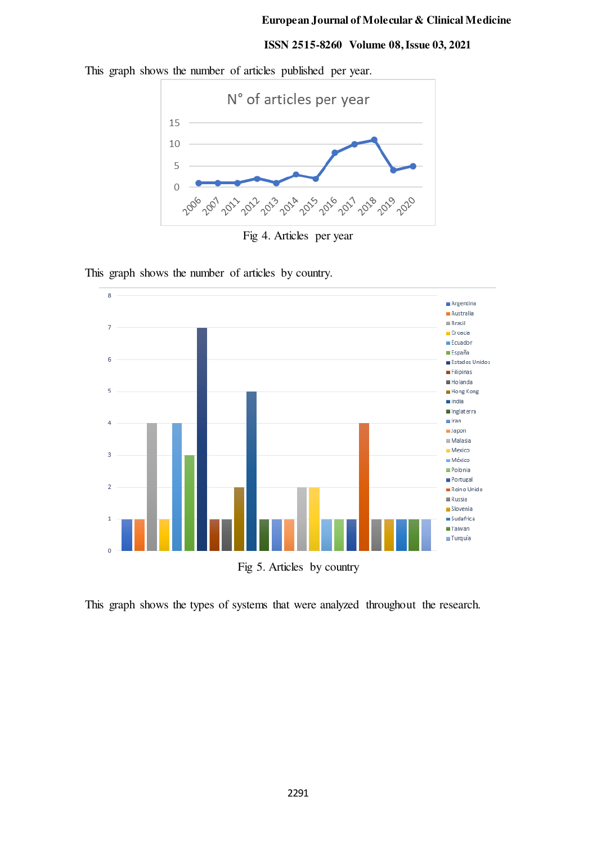#### **ISSN 2515-8260 Volume 08, Issue 03, 2021**

This graph shows the number of articles published per year.



Fig 4. Articles per year

 $\overline{8}$ Argentina Australia  $\equiv$  Brasil  $\overline{7}$ Croacia  $Ecuador$ **España** 6 Estados Unidos Filipinas Holanda 5 Hong Kong  $n$ India Inglaterra  $\blacksquare$  Iran  $\overline{4}$ **Japon**  $\equiv$  Malasia  $Mexico$  $\overline{3}$ **México** Polonia Portugal  $\overline{2}$ Reino Unido  $\blacksquare$  Russia Slovenia  $\mathbf{1}$  $Sudafrica$ **Taiwan** Turquía  $\overline{0}$ Fig 5. Articles by country

This graph shows the number of articles by country.

This graph shows the types of systems that were analyzed throughout the research.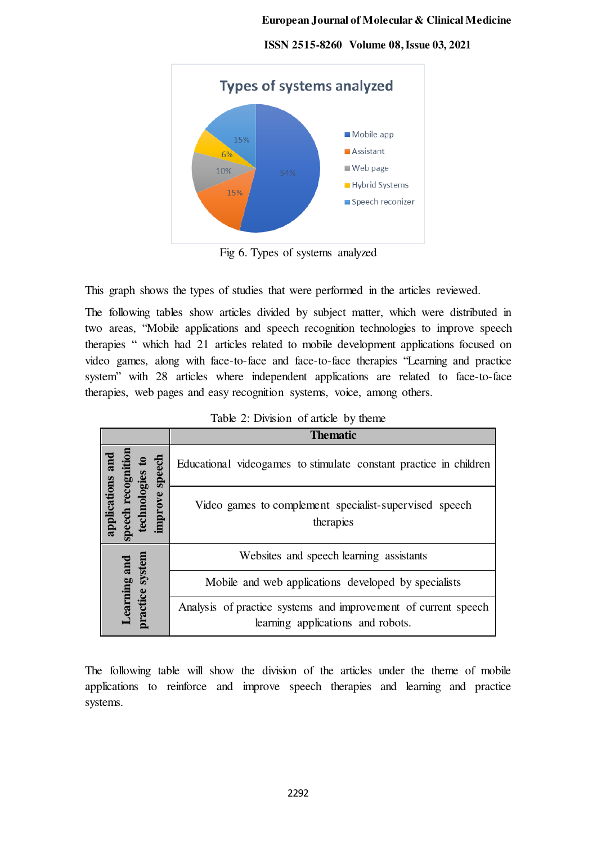

 **ISSN 2515-8260 Volume 08, Issue 03, 2021**

Fig 6. Types of systems analyzed

This graph shows the types of studies that were performed in the articles reviewed.

The following tables show articles divided by subject matter, which were distributed in two areas, "Mobile applications and speech recognition technologies to improve speech therapies " which had 21 articles related to mobile development applications focused on video games, along with face-to-face and face-to-face therapies "Learning and practice system" with 28 articles where independent applications are related to face-to-face therapies, web pages and easy recognition systems, voice, among others.

|                                          | <b>Thematic</b>                                                                                     |
|------------------------------------------|-----------------------------------------------------------------------------------------------------|
| speecl<br>logies                         | Educational videogames to stimulate constant practice in children                                   |
| applications<br>improve<br>echn<br>peech | Video games to complement specialist-supervised speech<br>therapies                                 |
|                                          | Websites and speech learning assistants                                                             |
| earning and                              | Mobile and web applications developed by specialists                                                |
| oractice system                          | Analysis of practice systems and improvement of current speech<br>learning applications and robots. |

| Table 2: Division of article by theme |  |  |
|---------------------------------------|--|--|
|---------------------------------------|--|--|

The following table will show the division of the articles under the theme of mobile applications to reinforce and improve speech therapies and learning and practice systems.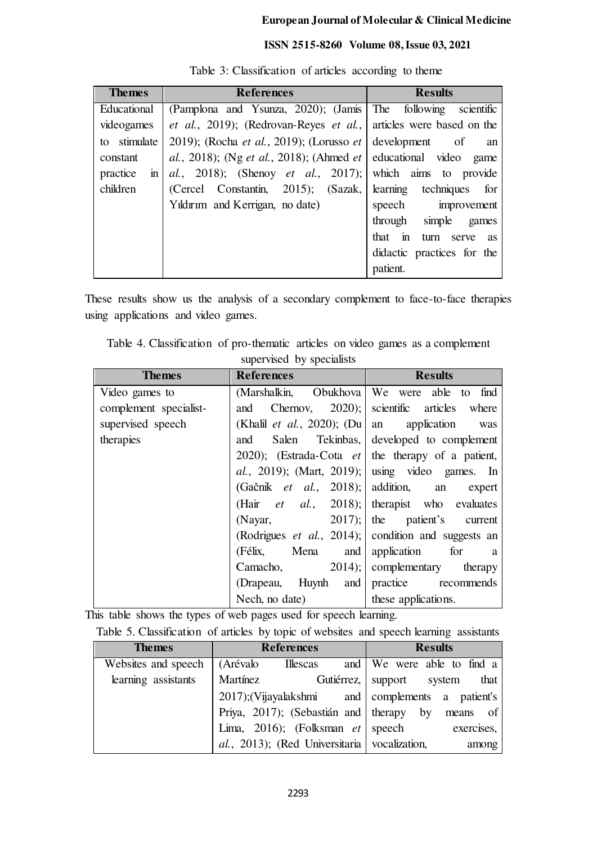# **ISSN 2515-8260 Volume 08, Issue 03, 2021**

| <b>Themes</b>            | <b>References</b>                                                      | <b>Results</b>             |
|--------------------------|------------------------------------------------------------------------|----------------------------|
| Educational              | (Pamplona and Ysunza, 2020); (Jamis The following scientific           |                            |
| videogames               | et al., 2019); (Redrovan-Reyes et al., articles were based on the      |                            |
| to stimulate             | 2019); (Rocha <i>et al.</i> , 2019); (Lorusso <i>et</i> development of | an                         |
| constant                 | al., 2018); (Ng et al., 2018); (Ahmed et educational video game        |                            |
| practice<br>$\mathbf{m}$ | al., 2018); (Shenoy et al., 2017); which aims to provide               |                            |
| children                 | (Cercel Constantin, 2015); (Sazak,                                     | learning techniques for    |
|                          | Yildirim and Kerrigan, no date)                                        | speech improvement         |
|                          |                                                                        | through simple games       |
|                          |                                                                        | that in turn serve as      |
|                          |                                                                        | didactic practices for the |
|                          |                                                                        | patient.                   |

Table 3: Classification of articles according to theme

These results show us the analysis of a secondary complement to face-to-face therapies using applications and video games.

Table 4. Classification of pro-thematic articles on video games as a complement supervised by specialists

| <b>Themes</b>          | <b>References</b>                           | <b>Results</b>                                              |
|------------------------|---------------------------------------------|-------------------------------------------------------------|
| Video games to         | (Marshalkin, Obukhova                       | We were able to<br>find                                     |
| complement specialist- | and                                         | Chernov, $2020$ ; scientific articles where                 |
| supervised speech      | (Khalil <i>et al.</i> , 2020); (Du an       | application<br>was                                          |
| therapies              | Salen<br>and                                | Tekinbas, developed to complement                           |
|                        |                                             | 2020); (Estrada-Cota $et$ the therapy of a patient,         |
|                        |                                             | <i>al.</i> , 2019); (Mart, 2019); using video games. In     |
|                        | (Gačnik <i>et al.</i> , 2018); addition, an | expert                                                      |
|                        |                                             | (Hair <i>et al.</i> , 2018); therapist who evaluates        |
|                        | 2017;<br>(Nayar,                            | the patient's current                                       |
|                        |                                             | (Rodrigues <i>et al.</i> , 2014); condition and suggests an |
|                        | Mena<br>(Félix,<br>and                      | application<br>for<br>a a                                   |
|                        | 2014;<br>Camacho,                           | complementary<br>therapy                                    |
|                        | (Drapeau, Huynh and                         | practice recommends                                         |
|                        | Nech, no date)                              | these applications.                                         |

This table shows the types of web pages used for speech learning.

| Table 5. Classification of articles by topic of websites and speech learning assistants |  |  |  |
|-----------------------------------------------------------------------------------------|--|--|--|
|                                                                                         |  |  |  |

| <b>Themes</b>       | <b>References</b>                                 | <b>Results</b>                    |  |  |  |
|---------------------|---------------------------------------------------|-----------------------------------|--|--|--|
| Websites and speech | (Arévalo<br><b>Illescas</b>                       | and We were able to find a        |  |  |  |
| learning assistants | Martínez                                          | Gutiérrez, support system<br>that |  |  |  |
|                     | 2017); (Vijayalakshmi and complements a patient's |                                   |  |  |  |
|                     | Priya, 2017); (Sebastián and therapy by           | means of                          |  |  |  |
|                     | Lima, 2016); (Folksman <i>et</i> speech           | exercises,                        |  |  |  |
|                     | al., 2013); (Red Universitaria vocalization,      | among                             |  |  |  |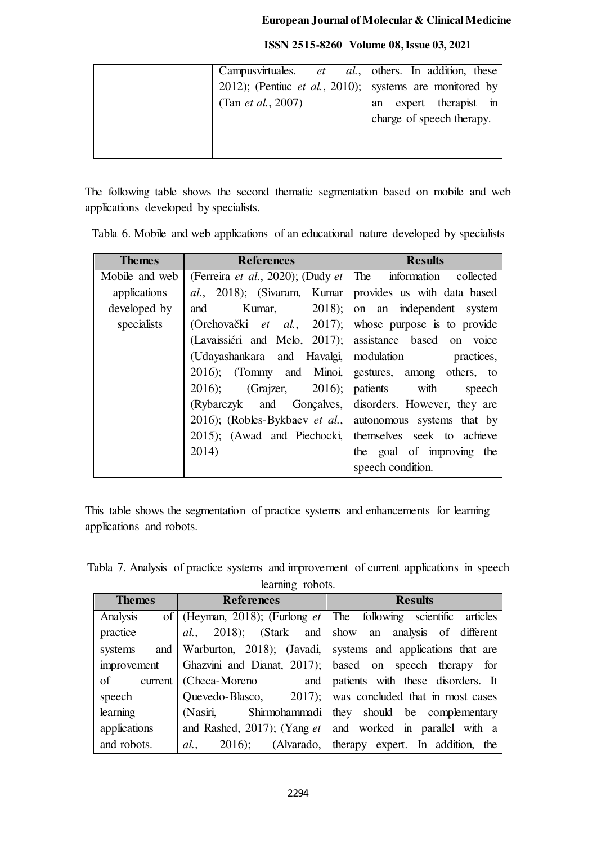|                            | Campus virtuales. <i>et al.</i> , others. In addition, these |
|----------------------------|--------------------------------------------------------------|
|                            | 2012); (Pentiuc et al., 2010); systems are monitored by      |
| (Tan <i>et al.</i> , 2007) | expert therapist in<br>an                                    |
|                            | charge of speech therapy.                                    |
|                            |                                                              |
|                            |                                                              |

The following table shows the second thematic segmentation based on mobile and web applications developed by specialists.

|  |  | Tabla 6. Mobile and web applications of an educational nature developed by specialists |  |  |  |
|--|--|----------------------------------------------------------------------------------------|--|--|--|
|  |  |                                                                                        |  |  |  |

| <b>Themes</b>  | <b>References</b>                                              | <b>Results</b>                    |
|----------------|----------------------------------------------------------------|-----------------------------------|
| Mobile and web | (Ferreira et al., 2020); (Dudy et   The information collected  |                                   |
| applications   | al., 2018); (Sivaram, Kumar                                    | provides us with data based       |
| developed by   | Kumar,<br>and                                                  | $2018$ ; on an independent system |
| specialists    | (Orehovački <i>et al.</i> , 2017); whose purpose is to provide |                                   |
|                | (Lavaissiéri and Melo, 2017); assistance based on voice        |                                   |
|                | (Udayashankara and Havalgi,   modulation                       | practices,                        |
|                | 2016); (Tommy and Minoi, gestures, among others, to            |                                   |
|                | $(Graizer, 2016);$ patients with<br>$2016$ :                   | speech                            |
|                | (Rybarczyk and Gonçalves, disorders. However, they are         |                                   |
|                | 2016); (Robles-Bykbaev et al., autonomous systems that by      |                                   |
|                | 2015); (Awad and Piechocki, themselves seek to achieve         |                                   |
|                | 2014)                                                          | the goal of improving the         |
|                |                                                                | speech condition.                 |

This table shows the segmentation of practice systems and enhancements for learning applications and robots.

Tabla 7. Analysis of practice systems and improvement of current applications in speech learning robots.

| <b>Themes</b> | <b>References</b>              | <b>Results</b>                                                       |  |  |
|---------------|--------------------------------|----------------------------------------------------------------------|--|--|
| Analysis      |                                | of (Heyman, 2018); (Furlong $et$ The following scientific articles   |  |  |
| practice      | <i>al.</i> ,                   | 2018); (Stark and show an analysis of different                      |  |  |
| systems       |                                | and   Warburton, 2018); (Javadi,   systems and applications that are |  |  |
| improvement   |                                | Ghazvini and Dianat, 2017); based on speech therapy for              |  |  |
| of            | current   (Checa-Moreno<br>and | patients with these disorders. It                                    |  |  |
| speech        |                                | Quevedo-Blasco, 2017); was concluded that in most cases              |  |  |
| learning      | (Nasiri,                       | Shirmohammadi   they should be complementary                         |  |  |
| applications  |                                | and Rashed, 2017); (Yang $et$ and worked in parallel with a          |  |  |
| and robots.   | al.                            | 2016); (Alvarado, therapy expert. In addition, the                   |  |  |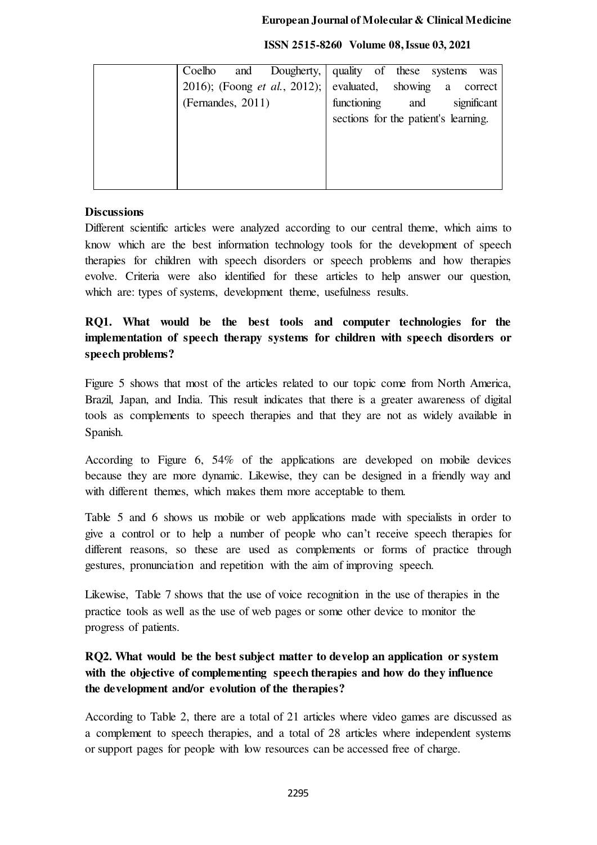| Coelho            |  | and Dougherty, quality of these systems                           |                                      |  |     |  | was         |
|-------------------|--|-------------------------------------------------------------------|--------------------------------------|--|-----|--|-------------|
|                   |  | 2016); (Foong <i>et al.</i> , 2012); evaluated, showing a correct |                                      |  |     |  |             |
| (Fernandes, 2011) |  |                                                                   | functioning                          |  | and |  | significant |
|                   |  |                                                                   | sections for the patient's learning. |  |     |  |             |
|                   |  |                                                                   |                                      |  |     |  |             |
|                   |  |                                                                   |                                      |  |     |  |             |
|                   |  |                                                                   |                                      |  |     |  |             |
|                   |  |                                                                   |                                      |  |     |  |             |

#### **ISSN 2515-8260 Volume 08, Issue 03, 2021**

# **Discussions**

Different scientific articles were analyzed according to our central theme, which aims to know which are the best information technology tools for the development of speech therapies for children with speech disorders or speech problems and how therapies evolve. Criteria were also identified for these articles to help answer our question, which are: types of systems, development theme, usefulness results.

# **RQ1. What would be the best tools and computer technologies for the implementation of speech therapy systems for children with speech disorders or speech problems?**

Figure 5 shows that most of the articles related to our topic come from North America, Brazil, Japan, and India. This result indicates that there is a greater awareness of digital tools as complements to speech therapies and that they are not as widely available in Spanish.

According to Figure 6, 54% of the applications are developed on mobile devices because they are more dynamic. Likewise, they can be designed in a friendly way and with different themes, which makes them more acceptable to them.

Table 5 and 6 shows us mobile or web applications made with specialists in order to give a control or to help a number of people who can't receive speech therapies for different reasons, so these are used as complements or forms of practice through gestures, pronunciation and repetition with the aim of improving speech.

Likewise, Table 7 shows that the use of voice recognition in the use of therapies in the practice tools as well as the use of web pages or some other device to monitor the progress of patients.

# **RQ2. What would be the best subject matter to develop an application or system with the objective of complementing speech therapies and how do they influence the development and/or evolution of the therapies?**

According to Table 2, there are a total of 21 articles where video games are discussed as a complement to speech therapies, and a total of 28 articles where independent systems or support pages for people with low resources can be accessed free of charge.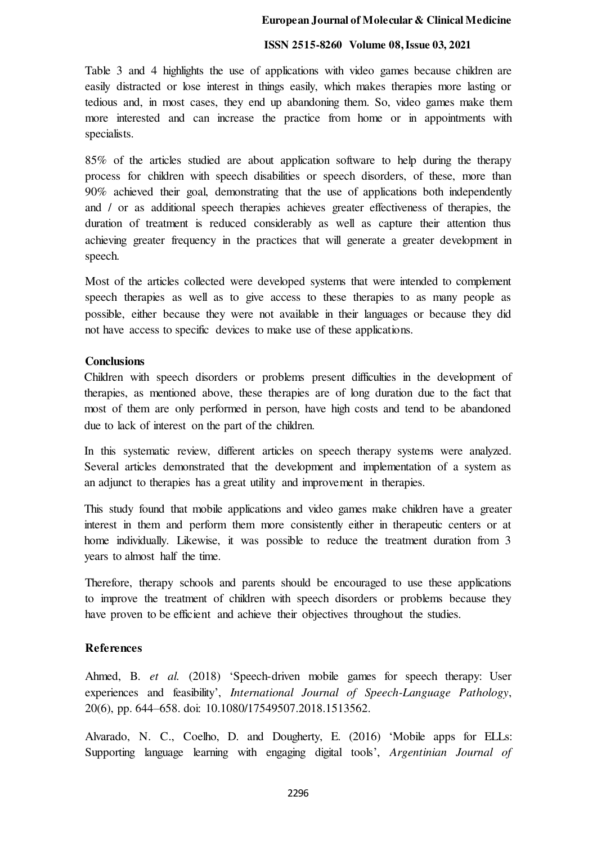#### **ISSN 2515-8260 Volume 08, Issue 03, 2021**

Table 3 and 4 highlights the use of applications with video games because children are easily distracted or lose interest in things easily, which makes therapies more lasting or tedious and, in most cases, they end up abandoning them. So, video games make them more interested and can increase the practice from home or in appointments with specialists.

85% of the articles studied are about application software to help during the therapy process for children with speech disabilities or speech disorders, of these, more than 90% achieved their goal, demonstrating that the use of applications both independently and / or as additional speech therapies achieves greater effectiveness of therapies, the duration of treatment is reduced considerably as well as capture their attention thus achieving greater frequency in the practices that will generate a greater development in speech.

Most of the articles collected were developed systems that were intended to complement speech therapies as well as to give access to these therapies to as many people as possible, either because they were not available in their languages or because they did not have access to specific devices to make use of these applications.

## **Conclusions**

Children with speech disorders or problems present difficulties in the development of therapies, as mentioned above, these therapies are of long duration due to the fact that most of them are only performed in person, have high costs and tend to be abandoned due to lack of interest on the part of the children.

In this systematic review, different articles on speech therapy systems were analyzed. Several articles demonstrated that the development and implementation of a system as an adjunct to therapies has a great utility and improvement in therapies.

This study found that mobile applications and video games make children have a greater interest in them and perform them more consistently either in therapeutic centers or at home individually. Likewise, it was possible to reduce the treatment duration from 3 years to almost half the time.

Therefore, therapy schools and parents should be encouraged to use these applications to improve the treatment of children with speech disorders or problems because they have proven to be efficient and achieve their objectives throughout the studies.

# **References**

Ahmed, B. *et al.* (2018) 'Speech-driven mobile games for speech therapy: User experiences and feasibility', *International Journal of Speech-Language Pathology*, 20(6), pp. 644–658. doi: 10.1080/17549507.2018.1513562.

Alvarado, N. C., Coelho, D. and Dougherty, E. (2016) 'Mobile apps for ELLs: Supporting language learning with engaging digital tools', *Argentinian Journal of*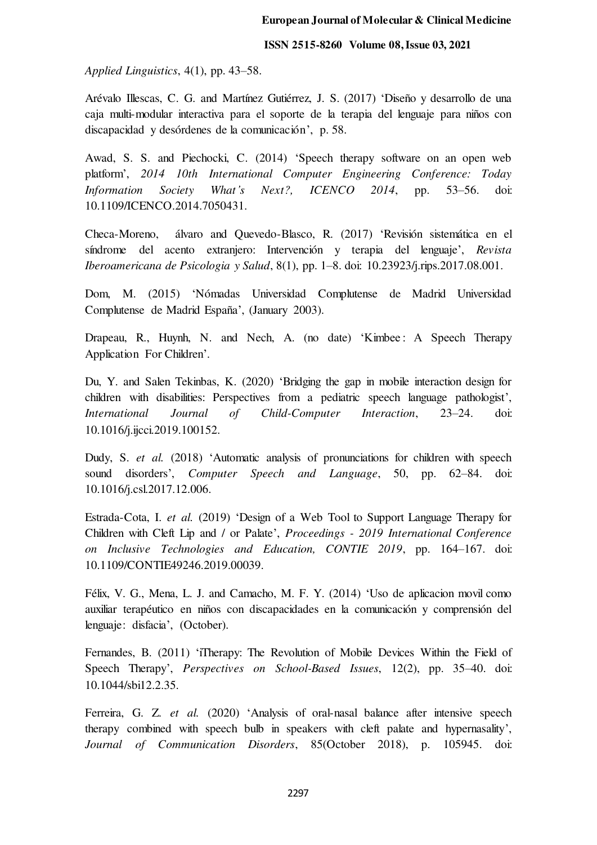*Applied Linguistics*, 4(1), pp. 43–58.

Arévalo Illescas, C. G. and Martínez Gutiérrez, J. S. (2017) 'Diseño y desarrollo de una caja multi-modular interactiva para el soporte de la terapia del lenguaje para niños con discapacidad y desórdenes de la comunicación', p. 58.

Awad, S. S. and Piechocki, C. (2014) 'Speech therapy software on an open web platform', *2014 10th International Computer Engineering Conference: Today Information Society What's Next?, ICENCO 2014*, pp. 53–56. doi: 10.1109/ICENCO.2014.7050431.

Checa-Moreno, álvaro and Quevedo-Blasco, R. (2017) 'Revisión sistemática en el síndrome del acento extranjero: Intervención y terapia del lenguaje', *Revista Iberoamericana de Psicologia y Salud*, 8(1), pp. 1–8. doi: 10.23923/j.rips.2017.08.001.

Dom, M. (2015) 'Nómadas Universidad Complutense de Madrid Universidad Complutense de Madrid España', (January 2003).

Drapeau, R., Huynh, N. and Nech, A. (no date) 'Kimbee: A Speech Therapy Application For Children'.

Du, Y. and Salen Tekinbas, K. (2020) 'Bridging the gap in mobile interaction design for children with disabilities: Perspectives from a pediatric speech language pathologist', *International Journal of Child-Computer Interaction*, 23–24. doi: 10.1016/j.ijcci.2019.100152.

Dudy, S. *et al.* (2018) 'Automatic analysis of pronunciations for children with speech sound disorders', *Computer Speech and Language*, 50, pp. 62–84. doi: 10.1016/j.csl.2017.12.006.

Estrada-Cota, I. *et al.* (2019) 'Design of a Web Tool to Support Language Therapy for Children with Cleft Lip and / or Palate', *Proceedings - 2019 International Conference on Inclusive Technologies and Education, CONTIE 2019*, pp. 164–167. doi: 10.1109/CONTIE49246.2019.00039.

Félix, V. G., Mena, L. J. and Camacho, M. F. Y. (2014) 'Uso de aplicacion movil como auxiliar terapéutico en niños con discapacidades en la comunicación y comprensión del lenguaje: disfacia', (October).

Fernandes, B. (2011) 'iTherapy: The Revolution of Mobile Devices Within the Field of Speech Therapy', *Perspectives on School-Based Issues*, 12(2), pp. 35–40. doi: 10.1044/sbi12.2.35.

Ferreira, G. Z. *et al.* (2020) 'Analysis of oral-nasal balance after intensive speech therapy combined with speech bulb in speakers with cleft palate and hypernasality', *Journal of Communication Disorders*, 85(October 2018), p. 105945. doi: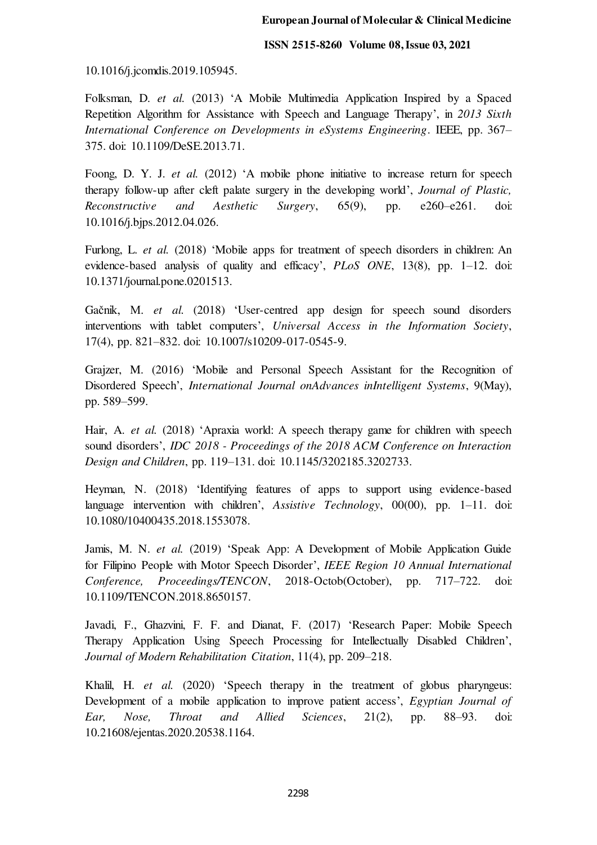10.1016/j.jcomdis.2019.105945.

Folksman, D. *et al.* (2013) 'A Mobile Multimedia Application Inspired by a Spaced Repetition Algorithm for Assistance with Speech and Language Therapy', in *2013 Sixth International Conference on Developments in eSystems Engineering*. IEEE, pp. 367– 375. doi: 10.1109/DeSE.2013.71.

Foong, D. Y. J. *et al.* (2012) 'A mobile phone initiative to increase return for speech therapy follow-up after cleft palate surgery in the developing world', *Journal of Plastic, Reconstructive and Aesthetic Surgery*, 65(9), pp. e260–e261. doi: 10.1016/j.bjps.2012.04.026.

Furlong, L. *et al.* (2018) 'Mobile apps for treatment of speech disorders in children: An evidence-based analysis of quality and efficacy', *PLoS ONE*, 13(8), pp. 1–12. doi: 10.1371/journal.pone.0201513.

Gačnik, M. *et al.* (2018) 'User-centred app design for speech sound disorders interventions with tablet computers', *Universal Access in the Information Society*, 17(4), pp. 821–832. doi: 10.1007/s10209-017-0545-9.

Grajzer, M. (2016) 'Mobile and Personal Speech Assistant for the Recognition of Disordered Speech', *International Journal onAdvances inIntelligent Systems*, 9(May), pp. 589–599.

Hair, A. *et al.* (2018) 'Apraxia world: A speech therapy game for children with speech sound disorders', *IDC 2018 - Proceedings of the 2018 ACM Conference on Interaction Design and Children*, pp. 119–131. doi: 10.1145/3202185.3202733.

Heyman, N. (2018) 'Identifying features of apps to support using evidence-based language intervention with children', *Assistive Technology*, 00(00), pp. 1–11. doi: 10.1080/10400435.2018.1553078.

Jamis, M. N. *et al.* (2019) 'Speak App: A Development of Mobile Application Guide for Filipino People with Motor Speech Disorder', *IEEE Region 10 Annual International Conference, Proceedings/TENCON*, 2018-Octob(October), pp. 717–722. doi: 10.1109/TENCON.2018.8650157.

Javadi, F., Ghazvini, F. F. and Dianat, F. (2017) 'Research Paper: Mobile Speech Therapy Application Using Speech Processing for Intellectually Disabled Children', *Journal of Modern Rehabilitation Citation*, 11(4), pp. 209–218.

Khalil, H. *et al.* (2020) 'Speech therapy in the treatment of globus pharyngeus: Development of a mobile application to improve patient access', *Egyptian Journal of Ear, Nose, Throat and Allied Sciences*, 21(2), pp. 88–93. doi: 10.21608/ejentas.2020.20538.1164.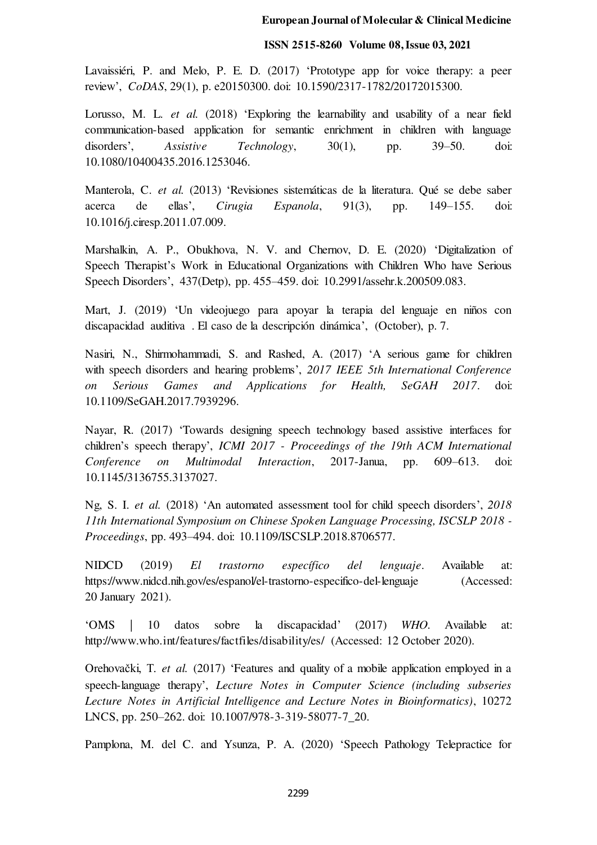#### **ISSN 2515-8260 Volume 08, Issue 03, 2021**

Lavaissiéri, P. and Melo, P. E. D. (2017) 'Prototype app for voice therapy: a peer review', *CoDAS*, 29(1), p. e20150300. doi: 10.1590/2317-1782/20172015300.

Lorusso, M. L. *et al.* (2018) 'Exploring the learnability and usability of a near field communication-based application for semantic enrichment in children with language disorders', *Assistive Technology*, 30(1), pp. 39–50. doi: 10.1080/10400435.2016.1253046.

Manterola, C. *et al.* (2013) 'Revisiones sistemáticas de la literatura. Qué se debe saber acerca de ellas', *Cirugia Espanola*, 91(3), pp. 149–155. doi: 10.1016/j.ciresp.2011.07.009.

Marshalkin, A. P., Obukhova, N. V. and Chernov, D. E. (2020) 'Digitalization of Speech Therapist's Work in Educational Organizations with Children Who have Serious Speech Disorders', 437(Detp), pp. 455–459. doi: 10.2991/assehr.k.200509.083.

Mart, J. (2019) 'Un videojuego para apoyar la terapia del lenguaje en niños con discapacidad auditiva . El caso de la descripción dinámica', (October), p. 7.

Nasiri, N., Shirmohammadi, S. and Rashed, A. (2017) 'A serious game for children with speech disorders and hearing problems', *2017 IEEE 5th International Conference on Serious Games and Applications for Health, SeGAH 2017*. doi: 10.1109/SeGAH.2017.7939296.

Nayar, R. (2017) 'Towards designing speech technology based assistive interfaces for children's speech therapy', *ICMI 2017 - Proceedings of the 19th ACM International Conference on Multimodal Interaction*, 2017-Janua, pp. 609–613. doi: 10.1145/3136755.3137027.

Ng, S. I. *et al.* (2018) 'An automated assessment tool for child speech disorders', *2018 11th International Symposium on Chinese Spoken Language Processing, ISCSLP 2018 - Proceedings*, pp. 493–494. doi: 10.1109/ISCSLP.2018.8706577.

NIDCD (2019) *El trastorno específico del lenguaje*. Available at: https://www.nidcd.nih.gov/es/espanol/el-trastorno-especifico-del-lenguaje (Accessed: 20 January 2021).

'OMS | 10 datos sobre la discapacidad' (2017) *WHO*. Available at: http://www.who.int/features/factfiles/disability/es/ (Accessed: 12 October 2020).

Orehovački, T. *et al.* (2017) 'Features and quality of a mobile application employed in a speech-language therapy', *Lecture Notes in Computer Science (including subseries Lecture Notes in Artificial Intelligence and Lecture Notes in Bioinformatics)*, 10272 LNCS, pp. 250–262. doi: 10.1007/978-3-319-58077-7\_20.

Pamplona, M. del C. and Ysunza, P. A. (2020) 'Speech Pathology Telepractice for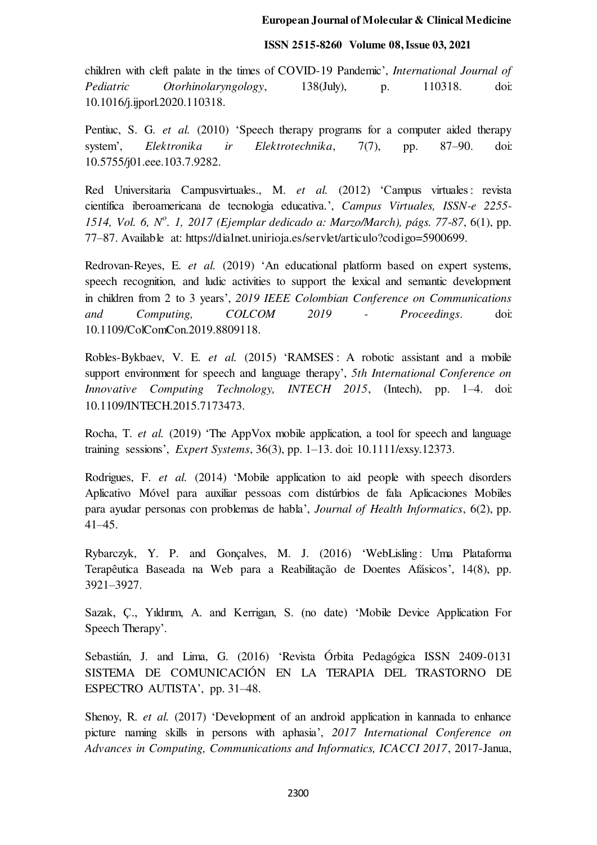# **ISSN 2515-8260 Volume 08, Issue 03, 2021**

children with cleft palate in the times of COVID-19 Pandemic', *International Journal of Pediatric Otorhinolaryngology*, 138(July), p. 110318. doi: 10.1016/j.ijporl.2020.110318.

Pentiuc, S. G. *et al.* (2010) 'Speech therapy programs for a computer aided therapy system', *Elektronika ir Elektrotechnika*, 7(7), pp. 87–90. doi: 10.5755/j01.eee.103.7.9282.

Red Universitaria Campusvirtuales., M. *et al.* (2012) 'Campus virtuales: revista científica iberoamericana de tecnologia educativa.', *Campus Virtuales, ISSN-e 2255- 1514, Vol. 6, N<sup>o</sup> . 1, 2017 (Ejemplar dedicado a: Marzo/March), págs. 77-87*, 6(1), pp. 77–87. Available at: https://dialnet.unirioja.es/servlet/articulo?codigo=5900699.

Redrovan-Reyes, E. *et al.* (2019) 'An educational platform based on expert systems, speech recognition, and ludic activities to support the lexical and semantic development in children from 2 to 3 years', *2019 IEEE Colombian Conference on Communications and Computing, COLCOM 2019 - Proceedings*. doi: 10.1109/ColComCon.2019.8809118.

Robles-Bykbaev, V. E. *et al.* (2015) 'RAMSES : A robotic assistant and a mobile support environment for speech and language therapy', *5th International Conference on Innovative Computing Technology, INTECH 2015*, (Intech), pp. 1–4. doi: 10.1109/INTECH.2015.7173473.

Rocha, T. *et al.* (2019) 'The AppVox mobile application, a tool for speech and language training sessions', *Expert Systems*, 36(3), pp. 1–13. doi: 10.1111/exsy.12373.

Rodrigues, F. *et al.* (2014) 'Mobile application to aid people with speech disorders Aplicativo Móvel para auxiliar pessoas com distúrbios de fala Aplicaciones Mobiles para ayudar personas con problemas de habla', *Journal of Health Informatics*, 6(2), pp. 41–45.

Rybarczyk, Y. P. and Gonçalves, M. J. (2016) 'WebLisling : Uma Plataforma Terapêutica Baseada na Web para a Reabilitação de Doentes Afásicos', 14(8), pp. 3921–3927.

Sazak, Ç., Yıldırım, A. and Kerrigan, S. (no date) 'Mobile Device Application For Speech Therapy'.

Sebastián, J. and Lima, G. (2016) 'Revista Órbita Pedagógica ISSN 2409-0131 SISTEMA DE COMUNICACIÓN EN LA TERAPIA DEL TRASTORNO DE ESPECTRO AUTISTA', pp. 31–48.

Shenoy, R. *et al.* (2017) 'Development of an android application in kannada to enhance picture naming skills in persons with aphasia', *2017 International Conference on Advances in Computing, Communications and Informatics, ICACCI 2017*, 2017-Janua,